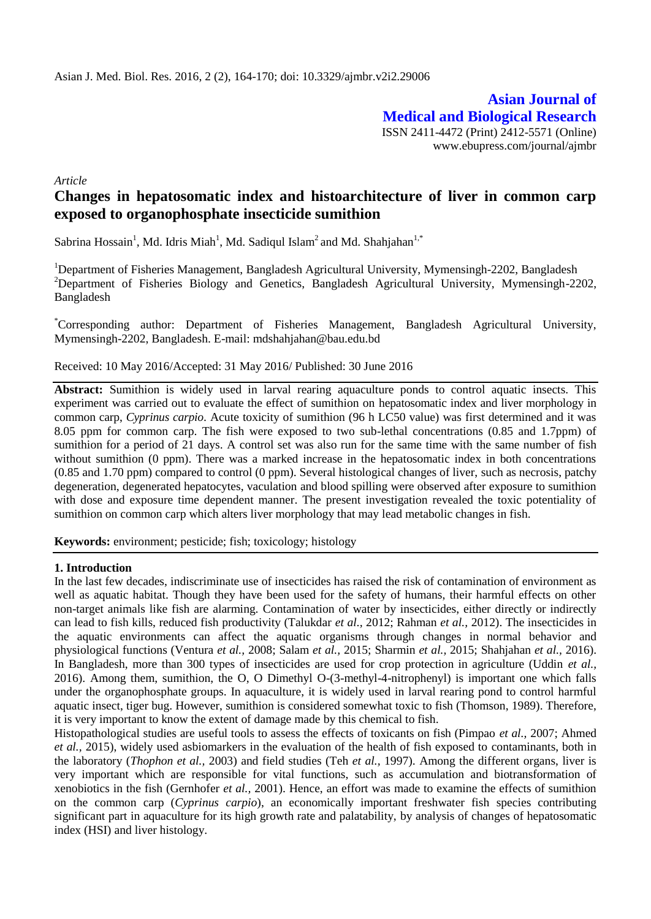**Asian Journal of Medical and Biological Research** ISSN 2411-4472 (Print) 2412-5571 (Online) www.ebupress.com/journal/ajmbr

*Article*

# **Changes in hepatosomatic index and histoarchitecture of liver in common carp exposed to organophosphate insecticide sumithion**

Sabrina Hossain<sup>1</sup>, Md. Idris Miah<sup>1</sup>, Md. Sadiqul Islam<sup>2</sup> and Md. Shahjahan<sup>1,\*</sup>

<sup>1</sup>Department of Fisheries Management, Bangladesh Agricultural University, Mymensingh-2202, Bangladesh <sup>2</sup>Department of Fisheries Biology and Genetics, Bangladesh Agricultural University, Mymensingh-2202, Bangladesh

\*Corresponding author: Department of Fisheries Management, Bangladesh Agricultural University, Mymensingh-2202, Bangladesh. E-mail: [mdshahjahan@bau.edu.bd](mailto:mdshahjahan@bau.edu.bd)

Received: 10 May 2016/Accepted: 31 May 2016/ Published: 30 June 2016

**Abstract:** Sumithion is widely used in larval rearing aquaculture ponds to control aquatic insects. This experiment was carried out to evaluate the effect of sumithion on hepatosomatic index and liver morphology in common carp, *Cyprinus carpio*. Acute toxicity of sumithion (96 h LC50 value) was first determined and it was 8.05 ppm for common carp. The fish were exposed to two sub-lethal concentrations (0.85 and 1.7ppm) of sumithion for a period of 21 days. A control set was also run for the same time with the same number of fish without sumithion (0 ppm). There was a marked increase in the hepatosomatic index in both concentrations (0.85 and 1.70 ppm) compared to control (0 ppm). Several histological changes of liver, such as necrosis, patchy degeneration, degenerated hepatocytes, vaculation and blood spilling were observed after exposure to sumithion with dose and exposure time dependent manner. The present investigation revealed the toxic potentiality of sumithion on common carp which alters liver morphology that may lead metabolic changes in fish.

**Keywords:** environment; pesticide; fish; toxicology; histology

### **1. Introduction**

In the last few decades, indiscriminate use of insecticides has raised the risk of contamination of environment as well as aquatic habitat. Though they have been used for the safety of humans, their harmful effects on other non-target animals like fish are alarming. Contamination of water by insecticides, either directly or indirectly can lead to fish kills, reduced fish productivity (Talukdar *et al.,* 2012; Rahman *et al.,* 2012). The insecticides in the aquatic environments can affect the aquatic organisms through changes in normal behavior and physiological functions (Ventura *et al.,* 2008; Salam *et al.,* 2015; Sharmin *et al.,* 2015; Shahjahan *et al.,* 2016). In Bangladesh, more than 300 types of insecticides are used for crop protection in agriculture (Uddin *et al.,* 2016). Among them, sumithion, the O, O Dimethyl O-(3-methyl-4-nitrophenyl) is important one which falls under the organophosphate groups. In aquaculture, it is widely used in larval rearing pond to control harmful aquatic insect, tiger bug. However, sumithion is considered somewhat toxic to fish (Thomson, 1989). Therefore, it is very important to know the extent of damage made by this chemical to fish.

Histopathological studies are useful tools to assess the effects of toxicants on fish (Pimpao *et al.,* 2007; Ahmed *et al.,* 2015), widely used asbiomarkers in the evaluation of the health of fish exposed to contaminants, both in the laboratory (*Thophon et al.,* 2003) and field studies (Teh *et al.,* 1997). Among the different organs, liver is very important which are responsible for vital functions, such as accumulation and biotransformation of xenobiotics in the fish (Gernhofer *et al.,* 2001). Hence, an effort was made to examine the effects of sumithion on the common carp (*Cyprinus carpio*), an economically important freshwater fish species contributing significant part in aquaculture for its high growth rate and palatability, by analysis of changes of hepatosomatic index (HSI) and liver histology.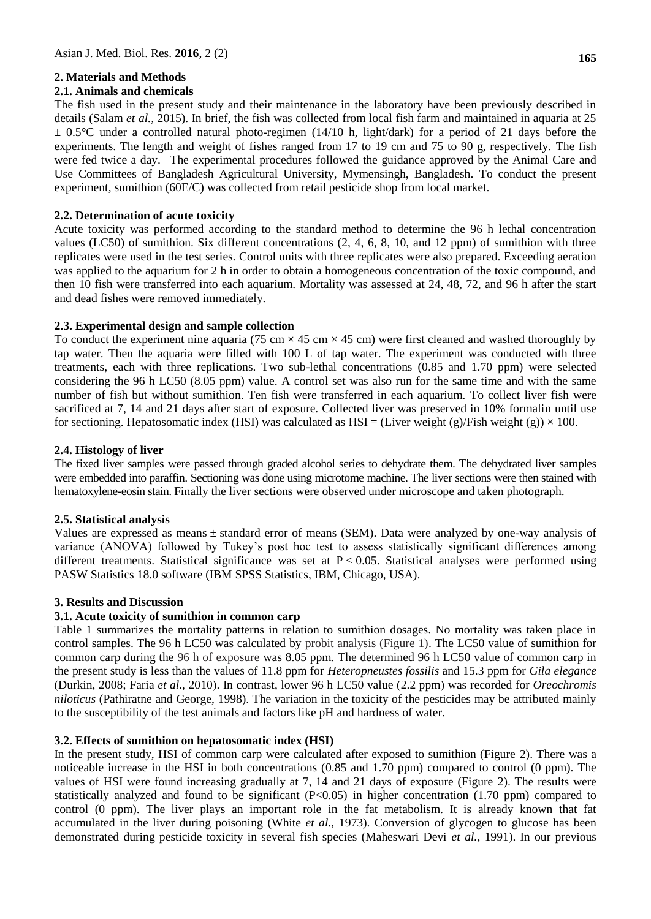# **2. Materials and Methods**

# **2.1. Animals and chemicals**

The fish used in the present study and their maintenance in the laboratory have been previously described in details (Salam *et al.,* 2015). In brief, the fish was collected from local fish farm and maintained in aquaria at 25  $\pm$  0.5°C under a controlled natural photo-regimen (14/10 h, light/dark) for a period of 21 days before the experiments. The length and weight of fishes ranged from 17 to 19 cm and 75 to 90 g, respectively. The fish were fed twice a day. The experimental procedures followed the guidance approved by the Animal Care and Use Committees of Bangladesh Agricultural University, Mymensingh, Bangladesh. To conduct the present experiment, sumithion (60E/C) was collected from retail pesticide shop from local market.

# **2.2. Determination of acute toxicity**

Acute toxicity was performed according to the standard method to determine the 96 h lethal concentration values (LC50) of sumithion. Six different concentrations (2, 4, 6, 8, 10, and 12 ppm) of sumithion with three replicates were used in the test series. Control units with three replicates were also prepared. Exceeding aeration was applied to the aquarium for 2 h in order to obtain a homogeneous concentration of the toxic compound, and then 10 fish were transferred into each aquarium. Mortality was assessed at 24, 48, 72, and 96 h after the start and dead fishes were removed immediately.

# **2.3. Experimental design and sample collection**

To conduct the experiment nine aquaria (75 cm  $\times$  45 cm  $\times$  45 cm) were first cleaned and washed thoroughly by tap water. Then the aquaria were filled with 100 L of tap water. The experiment was conducted with three treatments, each with three replications. Two sub-lethal concentrations (0.85 and 1.70 ppm) were selected considering the 96 h LC50 (8.05 ppm) value. A control set was also run for the same time and with the same number of fish but without sumithion. Ten fish were transferred in each aquarium. To collect liver fish were sacrificed at 7, 14 and 21 days after start of exposure. Collected liver was preserved in 10% formalin until use for sectioning. Hepatosomatic index (HSI) was calculated as HSI = (Liver weight (g)/Fish weight (g))  $\times$  100.

# **2.4. Histology of liver**

The fixed liver samples were passed through graded alcohol series to dehydrate them. The dehydrated liver samples were embedded into paraffin. Sectioning was done using microtome machine. The liver sections were then stained with hematoxylene-eosin stain. Finally the liver sections were observed under microscope and taken photograph.

# **2.5. Statistical analysis**

Values are expressed as means  $\pm$  standard error of means (SEM). Data were analyzed by one-way analysis of variance (ANOVA) followed by Tukey's post hoc test to assess statistically significant differences among different treatments. Statistical significance was set at  $P < 0.05$ . Statistical analyses were performed using PASW Statistics 18.0 software (IBM SPSS Statistics, IBM, Chicago, USA).

### **3. Results and Discussion**

# **3.1. Acute toxicity of sumithion in common carp**

Table 1 summarizes the mortality patterns in relation to sumithion dosages. No mortality was taken place in control samples. The 96 h LC50 was calculated by probit analysis (Figure 1). The LC50 value of sumithion for common carp during the 96 h of exposure was 8.05 ppm. The determined 96 h LC50 value of common carp in the present study is less than the values of 11.8 ppm for *Heteropneustes fossilis* and 15.3 ppm for *Gila elegance*  (Durkin, 2008; Faria *et al.,* 2010). In contrast, lower 96 h LC50 value (2.2 ppm) was recorded for *Oreochromis niloticus* (Pathiratne and George, 1998). The variation in the toxicity of the pesticides may be attributed mainly to the susceptibility of the test animals and factors like pH and hardness of water.

### **3.2. Effects of sumithion on hepatosomatic index (HSI)**

In the present study, HSI of common carp were calculated after exposed to sumithion (Figure 2). There was a noticeable increase in the HSI in both concentrations (0.85 and 1.70 ppm) compared to control (0 ppm). The values of HSI were found increasing gradually at 7, 14 and 21 days of exposure (Figure 2). The results were statistically analyzed and found to be significant  $(P<0.05)$  in higher concentration (1.70 ppm) compared to control (0 ppm). The liver plays an important role in the fat metabolism. It is already known that fat accumulated in the liver during poisoning (White *et al.,* 1973). Conversion of glycogen to glucose has been demonstrated during pesticide toxicity in several fish species (Maheswari Devi *et al.,* 1991). In our previous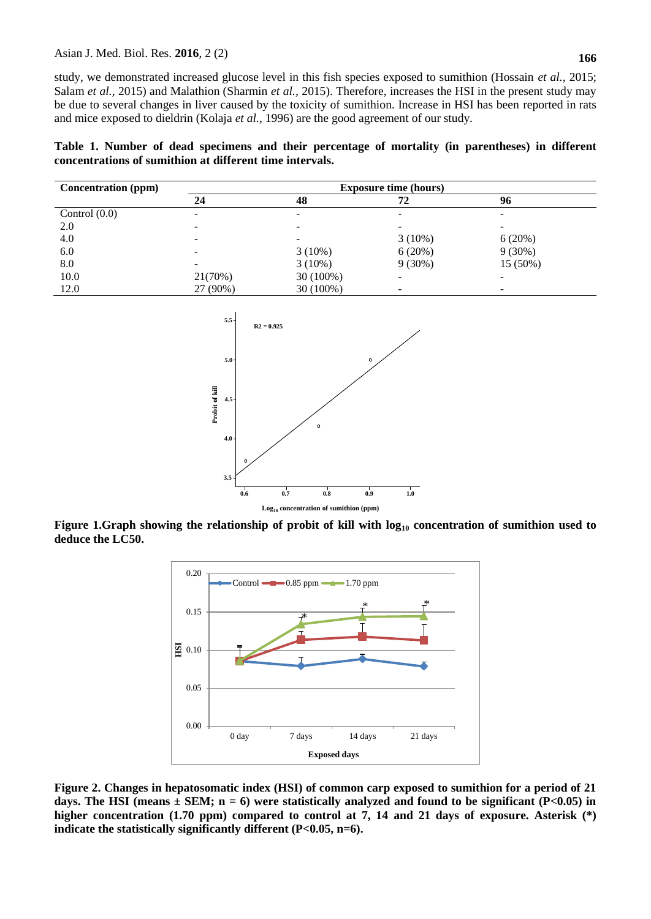study, we demonstrated increased glucose level in this fish species exposed to sumithion (Hossain *et al.,* 2015; Salam *et al.,* 2015) and Malathion (Sharmin *et al.,* 2015). Therefore, increases the HSI in the present study may be due to several changes in liver caused by the toxicity of sumithion. Increase in HSI has been reported in rats and mice exposed to dieldrin (Kolaja *et al.,* 1996) are the good agreement of our study.

**Table 1. Number of dead specimens and their percentage of mortality (in parentheses) in different concentrations of sumithion at different time intervals.**

| <b>Concentration</b> (ppm) | <b>Exposure time (hours)</b> |             |           |           |  |
|----------------------------|------------------------------|-------------|-----------|-----------|--|
|                            | 24                           | 48          | 72        | 96        |  |
| Control $(0.0)$            |                              |             |           |           |  |
| 2.0                        |                              |             |           |           |  |
| 4.0                        |                              |             | $3(10\%)$ | 6(20%)    |  |
| 6.0                        | -                            | $3(10\%)$   | 6(20%)    | $9(30\%)$ |  |
| 8.0                        |                              | $3(10\%)$   | $9(30\%)$ | 15 (50%)  |  |
| 10.0                       | 21(70%)                      | $30(100\%)$ | -         |           |  |
| 12.0                       | 27 (90%)                     | 30 (100%)   |           |           |  |



**Figure 1.Graph showing the relationship of probit of kill with log<sup>10</sup> concentration of sumithion used to deduce the LC50.**



**Figure 2. Changes in hepatosomatic index (HSI) of common carp exposed to sumithion for a period of 21**  days. The HSI (means  $\pm$  SEM; n = 6) were statistically analyzed and found to be significant (P<0.05) in **higher concentration (1.70 ppm) compared to control at 7, 14 and 21 days of exposure. Asterisk (\*) indicate the statistically significantly different (P<0.05, n=6).**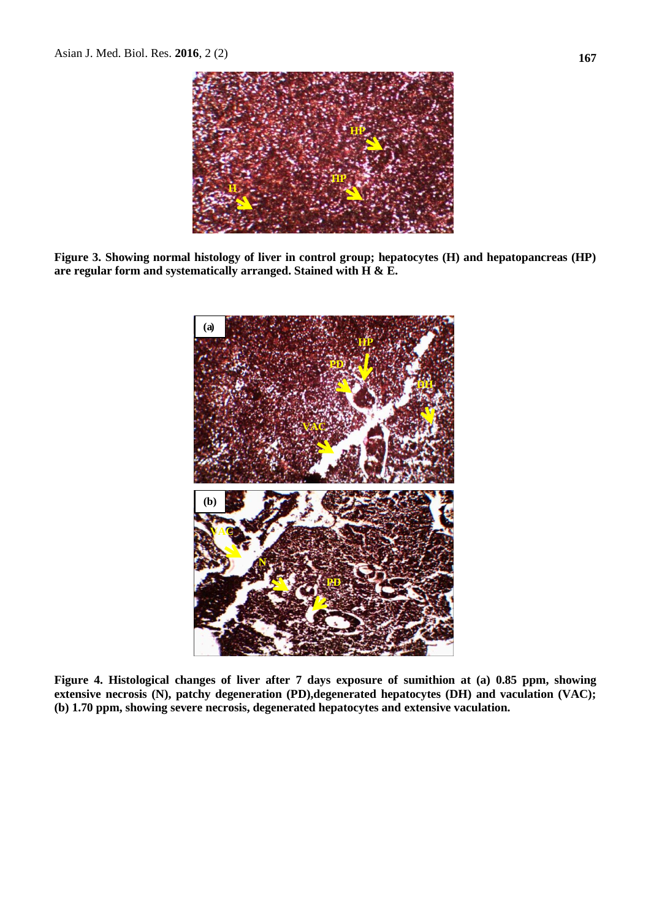

**Figure 3. Showing normal histology of liver in control group; hepatocytes (H) and hepatopancreas (HP) are regular form and systematically arranged. Stained with H & E.**



**Figure 4. Histological changes of liver after 7 days exposure of sumithion at (a) 0.85 ppm, showing extensive necrosis (N), patchy degeneration (PD),degenerated hepatocytes (DH) and vaculation (VAC); (b) 1.70 ppm, showing severe necrosis, degenerated hepatocytes and extensive vaculation.**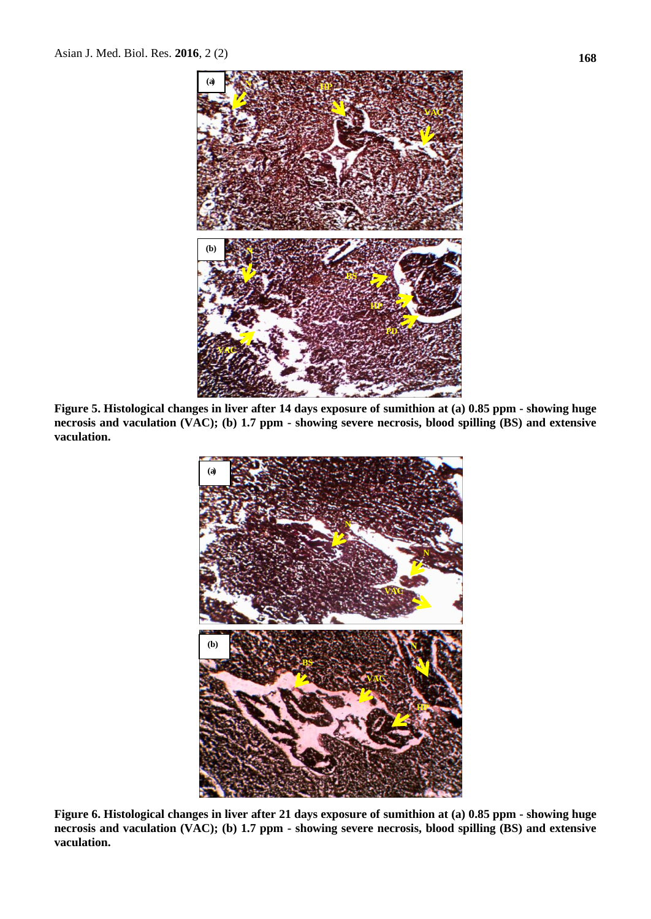

**Figure 5. Histological changes in liver after 14 days exposure of sumithion at (a) 0.85 ppm - showing huge necrosis and vaculation (VAC); (b) 1.7 ppm - showing severe necrosis, blood spilling (BS) and extensive vaculation.** 



**Figure 6. Histological changes in liver after 21 days exposure of sumithion at (a) 0.85 ppm - showing huge necrosis and vaculation (VAC); (b) 1.7 ppm - showing severe necrosis, blood spilling (BS) and extensive vaculation.**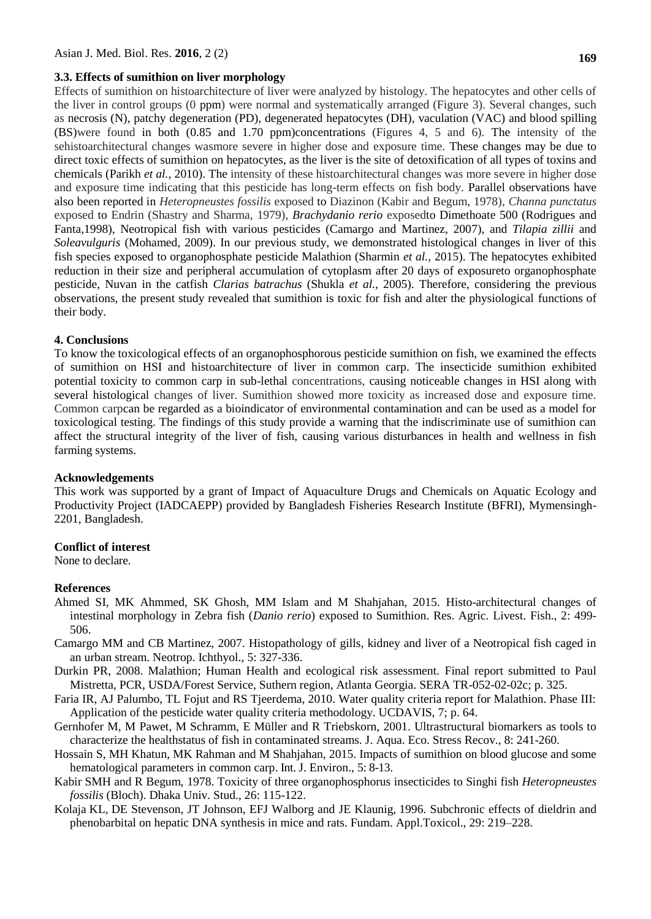### **3.3. Effects of sumithion on liver morphology**

Effects of sumithion on histoarchitecture of liver were analyzed by histology. The hepatocytes and other cells of the liver in control groups (0 ppm) were normal and systematically arranged (Figure 3). Several changes, such as necrosis (N), patchy degeneration (PD), degenerated hepatocytes (DH), vaculation (VAC) and blood spilling (BS)were found in both (0.85 and 1.70 ppm)concentrations (Figures 4, 5 and 6). The intensity of the sehistoarchitectural changes wasmore severe in higher dose and exposure time. These changes may be due to direct toxic effects of sumithion on hepatocytes, as the liver is the site of detoxification of all types of toxins and chemicals (Parikh *et al.,* 2010). The intensity of these histoarchitectural changes was more severe in higher dose and exposure time indicating that this pesticide has long-term effects on fish body. Parallel observations have also been reported in *Heteropneustes fossilis* exposed to Diazinon (Kabir and Begum, 1978), *Channa punctatus* exposed to Endrin (Shastry and Sharma, 1979), *Brachydanio rerio* exposedto Dimethoate 500 (Rodrigues and Fanta,1998), Neotropical fish with various pesticides (Camargo and Martinez, 2007), and *Tilapia zillii* and *Soleavulguris* (Mohamed, 2009). In our previous study, we demonstrated histological changes in liver of this fish species exposed to organophosphate pesticide Malathion (Sharmin *et al.,* 2015). The hepatocytes exhibited reduction in their size and peripheral accumulation of cytoplasm after 20 days of exposureto organophosphate pesticide, Nuvan in the catfish *Clarias batrachus* (Shukla *et al.,* 2005). Therefore, considering the previous observations, the present study revealed that sumithion is toxic for fish and alter the physiological functions of their body.

### **4. Conclusions**

To know the toxicological effects of an organophosphorous pesticide sumithion on fish, we examined the effects of sumithion on HSI and histoarchitecture of liver in common carp. The insecticide sumithion exhibited potential toxicity to common carp in sub-lethal concentrations, causing noticeable changes in HSI along with several histological changes of liver. Sumithion showed more toxicity as increased dose and exposure time. Common carpcan be regarded as a bioindicator of environmental contamination and can be used as a model for toxicological testing. The findings of this study provide a warning that the indiscriminate use of sumithion can affect the structural integrity of the liver of fish, causing various disturbances in health and wellness in fish farming systems.

### **Acknowledgements**

This work was supported by a grant of Impact of Aquaculture Drugs and Chemicals on Aquatic Ecology and Productivity Project (IADCAEPP) provided by Bangladesh Fisheries Research Institute (BFRI), Mymensingh-2201, Bangladesh.

### **Conflict of interest**

None to declare.

#### **References**

- Ahmed SI, MK Ahmmed, SK Ghosh, MM Islam and M Shahjahan, 2015. [Histo-architectural changes of](https://scholar.google.co.jp/scholar?oi=bibs&cluster=3033096463347775906&btnI=1&hl=en)  [intestinal morphology in Zebra fish \(](https://scholar.google.co.jp/scholar?oi=bibs&cluster=3033096463347775906&btnI=1&hl=en)*Danio rerio*) exposed to Sumithion. Res. Agric. Livest. Fish., 2: 499- 506.
- Camargo MM and CB Martinez, 2007. Histopathology of gills, kidney and liver of a Neotropical fish caged in an urban stream. Neotrop. Ichthyol., 5: 327-336.
- Durkin PR, 2008. Malathion; Human Health and ecological risk assessment. Final report submitted to Paul Mistretta, PCR, USDA/Forest Service, Suthern region, Atlanta Georgia. SERA TR-052-02-02c; p. 325.
- Faria IR, AJ Palumbo, TL Fojut and RS Tjeerdema, 2010. Water quality criteria report for Malathion. Phase III: Application of the pesticide water quality criteria methodology. UCDAVIS, 7; p. 64.
- Gernhofer M, M Pawet, M Schramm, E Müller and R Triebskorn, 2001. Ultrastructural biomarkers as tools to characterize the healthstatus of fish in contaminated streams. J. Aqua. Eco. Stress Recov., 8: 241-260.
- Hossain S, MH Khatun, MK Rahman and M Shahjahan, 2015. Impacts of sumithion on blood glucose and some hematological parameters in common carp. Int. J. Environ., 5: 8-13.
- Kabir SMH and R Begum, 1978. Toxicity of three organophosphorus insecticides to Singhi fish *Heteropneustes fossilis* (Bloch). Dhaka Univ. Stud., 26: 115-122.
- Kolaja KL, DE Stevenson, JT Johnson, EFJ Walborg and JE Klaunig, 1996. Subchronic effects of dieldrin and phenobarbital on hepatic DNA synthesis in mice and rats. Fundam. Appl.Toxicol., 29: 219–228.